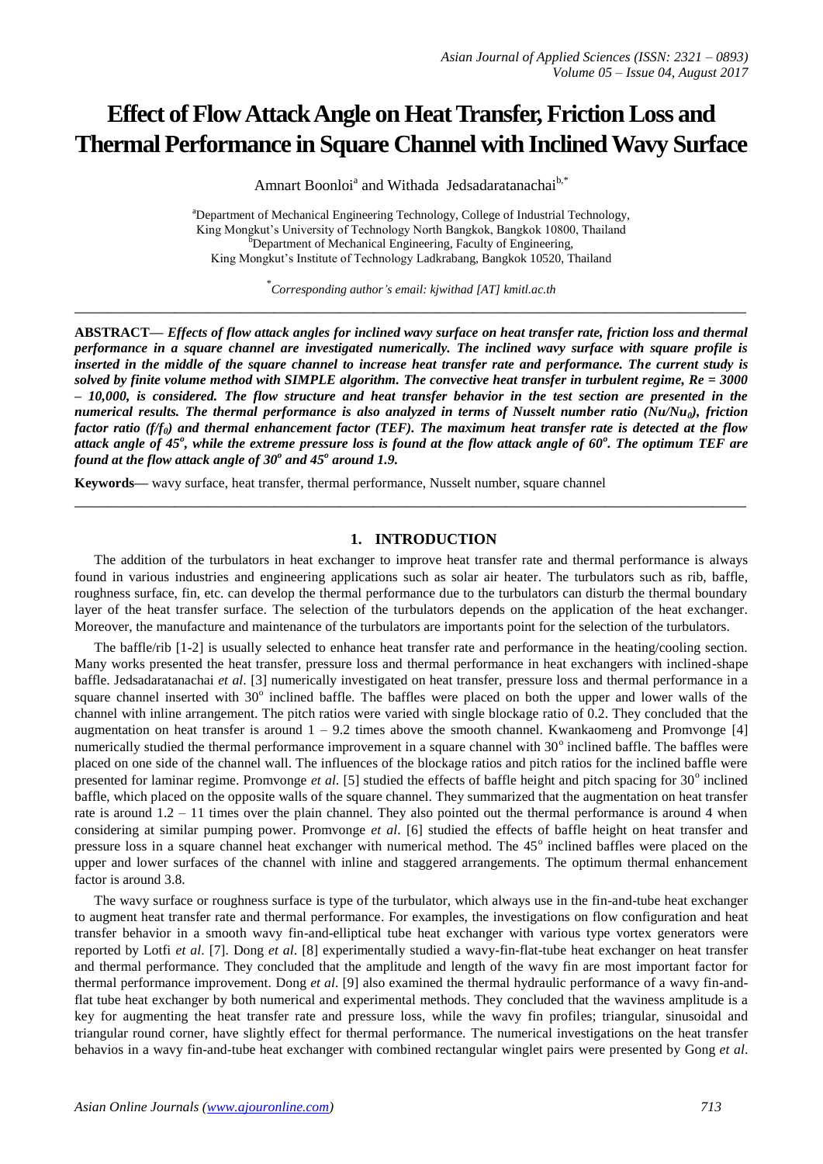# **Effect of Flow Attack Angle on Heat Transfer, Friction Loss and Thermal Performance in Square Channel with Inclined Wavy Surface**

Amnart Boonloi<sup>a</sup> and Withada Jedsadaratanachai<sup>b,\*</sup>

<sup>a</sup>Department of Mechanical Engineering Technology, College of Industrial Technology, King Mongkut's University of Technology North Bangkok, Bangkok 10800, Thailand <sup>b</sup>Department of Mechanical Engineering, Faculty of Engineering, King Mongkut's Institute of Technology Ladkrabang, Bangkok 10520, Thailand

\* *Corresponding author's email: kjwithad [AT] kmitl.ac.th* **\_\_\_\_\_\_\_\_\_\_\_\_\_\_\_\_\_\_\_\_\_\_\_\_\_\_\_\_\_\_\_\_\_\_\_\_\_\_\_\_\_\_\_\_\_\_\_\_\_\_\_\_\_\_\_\_\_\_\_\_\_\_\_\_\_\_\_\_\_\_\_\_\_\_\_\_\_\_\_\_\_**

**ABSTRACT—** *Effects of flow attack angles for inclined wavy surface on heat transfer rate, friction loss and thermal performance in a square channel are investigated numerically. The inclined wavy surface with square profile is inserted in the middle of the square channel to increase heat transfer rate and performance. The current study is solved by finite volume method with SIMPLE algorithm. The convective heat transfer in turbulent regime, Re = 3000 – 10,000, is considered. The flow structure and heat transfer behavior in the test section are presented in the numerical results. The thermal performance is also analyzed in terms of Nusselt number ratio (Nu/Nu0), friction factor ratio (f/f0) and thermal enhancement factor (TEF). The maximum heat transfer rate is detected at the flow attack angle of 45<sup>o</sup> , while the extreme pressure loss is found at the flow attack angle of 60<sup>o</sup> . The optimum TEF are found at the flow attack angle of 30<sup>o</sup> and 45<sup>o</sup> around 1.9.* 

**Keywords—** wavy surface, heat transfer, thermal performance, Nusselt number, square channel

## **1. INTRODUCTION**

The addition of the turbulators in heat exchanger to improve heat transfer rate and thermal performance is always found in various industries and engineering applications such as solar air heater. The turbulators such as rib, baffle, roughness surface, fin, etc. can develop the thermal performance due to the turbulators can disturb the thermal boundary layer of the heat transfer surface. The selection of the turbulators depends on the application of the heat exchanger. Moreover, the manufacture and maintenance of the turbulators are importants point for the selection of the turbulators.

**\_\_\_\_\_\_\_\_\_\_\_\_\_\_\_\_\_\_\_\_\_\_\_\_\_\_\_\_\_\_\_\_\_\_\_\_\_\_\_\_\_\_\_\_\_\_\_\_\_\_\_\_\_\_\_\_\_\_\_\_\_\_\_\_\_\_\_\_\_\_\_\_\_\_\_\_\_\_\_\_\_**

The baffle/rib [1-2] is usually selected to enhance heat transfer rate and performance in the heating/cooling section. Many works presented the heat transfer, pressure loss and thermal performance in heat exchangers with inclined-shape baffle. Jedsadaratanachai *et al*. [3] numerically investigated on heat transfer, pressure loss and thermal performance in a square channel inserted with 30° inclined baffle. The baffles were placed on both the upper and lower walls of the channel with inline arrangement. The pitch ratios were varied with single blockage ratio of 0.2. They concluded that the augmentation on heat transfer is around  $1 - 9.2$  times above the smooth channel. Kwankaomeng and Promvonge [4] numerically studied the thermal performance improvement in a square channel with  $30^{\circ}$  inclined baffle. The baffles were placed on one side of the channel wall. The influences of the blockage ratios and pitch ratios for the inclined baffle were presented for laminar regime. Promvonge et al. [5] studied the effects of baffle height and pitch spacing for 30° inclined baffle, which placed on the opposite walls of the square channel. They summarized that the augmentation on heat transfer rate is around 1.2 – 11 times over the plain channel. They also pointed out the thermal performance is around 4 when considering at similar pumping power. Promvonge *et al*. [6] studied the effects of baffle height on heat transfer and pressure loss in a square channel heat exchanger with numerical method. The 45° inclined baffles were placed on the upper and lower surfaces of the channel with inline and staggered arrangements. The optimum thermal enhancement factor is around 3.8.

The wavy surface or roughness surface is type of the turbulator, which always use in the fin-and-tube heat exchanger to augment heat transfer rate and thermal performance. For examples, the investigations on flow configuration and heat transfer behavior in a smooth wavy fin-and-elliptical tube heat exchanger with various type vortex generators were reported by Lotfi *et al*. [7]. Dong *et al*. [8] experimentally studied a wavy-fin-flat-tube heat exchanger on heat transfer and thermal performance. They concluded that the amplitude and length of the wavy fin are most important factor for thermal performance improvement. Dong *et al*. [9] also examined the thermal hydraulic performance of a wavy fin-andflat tube heat exchanger by both numerical and experimental methods. They concluded that the waviness amplitude is a key for augmenting the heat transfer rate and pressure loss, while the wavy fin profiles; triangular, sinusoidal and triangular round corner, have slightly effect for thermal performance. The numerical investigations on the heat transfer behavios in a wavy fin-and-tube heat exchanger with combined rectangular winglet pairs were presented by Gong *et al*.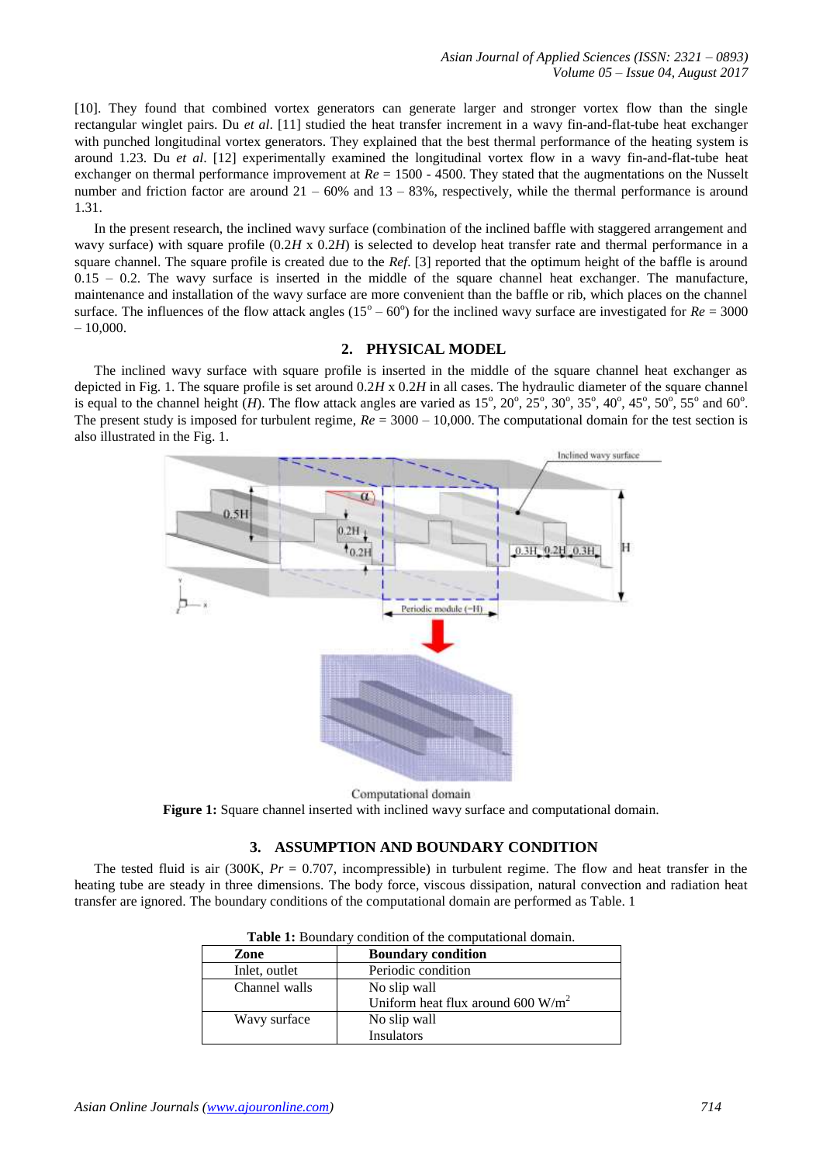[10]. They found that combined vortex generators can generate larger and stronger vortex flow than the single rectangular winglet pairs. Du *et al*. [11] studied the heat transfer increment in a wavy fin-and-flat-tube heat exchanger with punched longitudinal vortex generators. They explained that the best thermal performance of the heating system is around 1.23. Du *et al*. [12] experimentally examined the longitudinal vortex flow in a wavy fin-and-flat-tube heat exchanger on thermal performance improvement at *Re* = 1500 - 4500. They stated that the augmentations on the Nusselt number and friction factor are around  $21 - 60\%$  and  $13 - 83\%$ , respectively, while the thermal performance is around 1.31.

In the present research, the inclined wavy surface (combination of the inclined baffle with staggered arrangement and wavy surface) with square profile (0.2*H* x 0.2*H*) is selected to develop heat transfer rate and thermal performance in a square channel. The square profile is created due to the *Ref*. [3] reported that the optimum height of the baffle is around  $0.15 - 0.2$ . The wavy surface is inserted in the middle of the square channel heat exchanger. The manufacture, maintenance and installation of the wavy surface are more convenient than the baffle or rib, which places on the channel surface. The influences of the flow attack angles  $(15^{\circ} - 60^{\circ})$  for the inclined wavy surface are investigated for  $Re = 3000$  $-10,000.$ 

# **2. PHYSICAL MODEL**

The inclined wavy surface with square profile is inserted in the middle of the square channel heat exchanger as depicted in Fig. 1. The square profile is set around 0.2*H* x 0.2*H* in all cases. The hydraulic diameter of the square channel is equal to the channel height (*H*). The flow attack angles are varied as  $15^{\circ}$ ,  $20^{\circ}$ ,  $25^{\circ}$ ,  $30^{\circ}$ ,  $35^{\circ}$ ,  $40^{\circ}$ ,  $45^{\circ}$ ,  $50^{\circ}$ ,  $55^{\circ}$  and  $60^{\circ}$ . The present study is imposed for turbulent regime, *Re* = 3000 – 10,000. The computational domain for the test section is also illustrated in the Fig. 1.



Computational domain

**Figure 1:** Square channel inserted with inclined wavy surface and computational domain.

# **3. ASSUMPTION AND BOUNDARY CONDITION**

The tested fluid is air (300K, *Pr* = 0.707, incompressible) in turbulent regime. The flow and heat transfer in the heating tube are steady in three dimensions. The body force, viscous dissipation, natural convection and radiation heat transfer are ignored. The boundary conditions of the computational domain are performed as Table. 1

| <b>THEIR TO DOWNGATY CONGITION OF THE COMPONIUM HOMMAN.</b> |                                      |  |
|-------------------------------------------------------------|--------------------------------------|--|
| Zone                                                        | <b>Boundary condition</b>            |  |
| Inlet, outlet                                               | Periodic condition                   |  |
| Channel walls                                               | No slip wall                         |  |
|                                                             | Uniform heat flux around 600 $W/m^2$ |  |
| Wavy surface                                                | No slip wall                         |  |
|                                                             | Insulators                           |  |

|  |  | <b>Table 1:</b> Boundary condition of the computational domain. |
|--|--|-----------------------------------------------------------------|
|--|--|-----------------------------------------------------------------|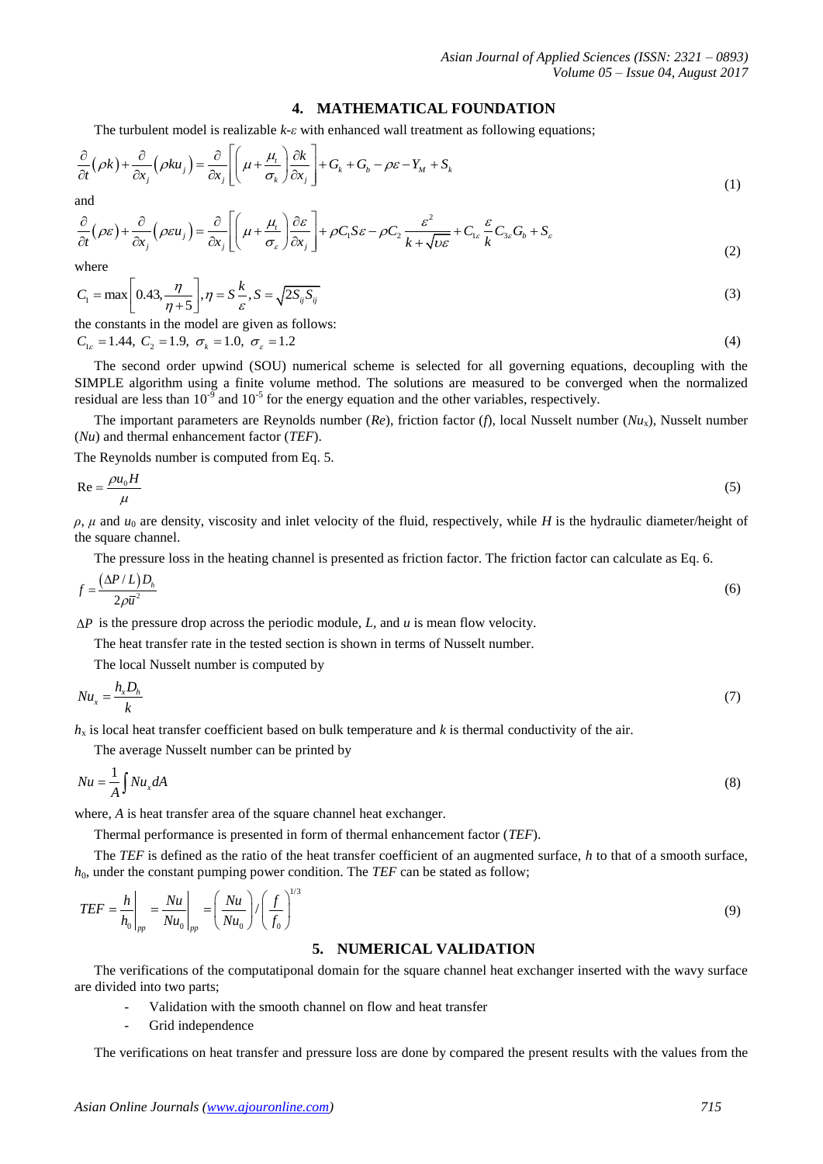## **4. MATHEMATICAL FOUNDATION**

The turbulent model is realizable 
$$
k \text{-} \varepsilon
$$
 with enhanced wall treatment as following equations;  
\n
$$
\frac{\partial}{\partial t} (\rho k) + \frac{\partial}{\partial x_j} (\rho k u_j) = \frac{\partial}{\partial x_j} \left[ \left( \mu + \frac{\mu_i}{\sigma_k} \right) \frac{\partial k}{\partial x_j} \right] + G_k + G_b - \rho \varepsilon - Y_M + S_k
$$
\n(1)

and

$$
\frac{\partial}{\partial t} (\rho \kappa)^{2} \frac{\partial}{\partial x_{j}} (\rho \kappa u_{j})^{2} \frac{\partial}{\partial x_{j}} \left[ \left( \frac{\rho \kappa}{\sigma_{k}} \right) \frac{\partial x_{j}}{\partial x_{j}} \right]^{2} + \rho C_{1} S \varepsilon - \rho C_{2} \frac{\varepsilon^{2}}{k + \sqrt{\nu \varepsilon}} + C_{1\varepsilon} \frac{\varepsilon}{k} C_{3\varepsilon} G_{b} + S_{\varepsilon}
$$
\n
$$
\frac{\partial}{\partial t} (\rho \varepsilon)^{2} \frac{\partial}{\partial x_{j}} (\rho \varepsilon u_{j}) = \frac{\partial}{\partial x_{j}} \left[ \left( \mu + \frac{\mu_{t}}{\sigma_{\varepsilon}} \right) \frac{\partial \varepsilon}{\partial x_{j}} \right] + \rho C_{1} S \varepsilon - \rho C_{2} \frac{\varepsilon^{2}}{k + \sqrt{\nu \varepsilon}} + C_{1\varepsilon} \frac{\varepsilon}{k} C_{3\varepsilon} G_{b} + S_{\varepsilon}
$$
\n
$$
(2)
$$

where

where  

$$
C_1 = \max\left[0.43, \frac{\eta}{\eta + 5}\right], \eta = S\frac{k}{\varepsilon}, S = \sqrt{2S_{ij}S_{ij}}
$$
(3)

the constants in the model are given as follows:  
\n
$$
C_{1\varepsilon} = 1.44
$$
,  $C_2 = 1.9$ ,  $\sigma_k = 1.0$ ,  $\sigma_{\varepsilon} = 1.2$  (4)

The second order upwind (SOU) numerical scheme is selected for all governing equations, decoupling with the SIMPLE algorithm using a finite volume method. The solutions are measured to be converged when the normalized residual are less than  $10^{-9}$  and  $10^{-5}$  for the energy equation and the other variables, respectively.

The important parameters are Reynolds number (*Re*), friction factor (*f*), local Nusselt number (*Nu*x), Nusselt number (*Nu*) and thermal enhancement factor (*TEF*).

The Reynolds number is computed from Eq. 5.

$$
\text{Re} = \frac{\rho u_0 H}{\mu} \tag{5}
$$

 $\rho$ ,  $\mu$  and  $u_0$  are density, viscosity and inlet velocity of the fluid, respectively, while *H* is the hydraulic diameter/height of the square channel.

The pressure loss in the heating channel is presented as friction factor. The friction factor can calculate as Eq. 6.

$$
f = \frac{(\Delta P / L)D_h}{2\rho \bar{u}^2} \tag{6}
$$

 $\Delta P$  is the pressure drop across the periodic module, *L*, and *u* is mean flow velocity.

The heat transfer rate in the tested section is shown in terms of Nusselt number.

The local Nusselt number is computed by

$$
Nu_x = \frac{h_x D_h}{k} \tag{7}
$$

 $h<sub>x</sub>$  is local heat transfer coefficient based on bulk temperature and *k* is thermal conductivity of the air.

The average Nusselt number can be printed by

$$
Nu = \frac{1}{A} \int Nu_x dA \tag{8}
$$

where, *A* is heat transfer area of the square channel heat exchanger.

Thermal performance is presented in form of thermal enhancement factor (*TEF*).

The *TEF* is defined as the ratio of the heat transfer coefficient of an augmented surface, *h* to that of a smooth surface, *h*<sub>0</sub>, under the constant pumping power condition. The *TEF* can be stated as follow;

$$
TEF = \frac{h}{h_0}\bigg|_{pp} = \frac{Nu}{Nu_0}\bigg|_{pp} = \left(\frac{Nu}{Nu_0}\right) / \left(\frac{f}{f_0}\right)^{1/3}
$$
(9)

# **5. NUMERICAL VALIDATION**

The verifications of the computatiponal domain for the square channel heat exchanger inserted with the wavy surface are divided into two parts;

- Validation with the smooth channel on flow and heat transfer
- Grid independence

The verifications on heat transfer and pressure loss are done by compared the present results with the values from the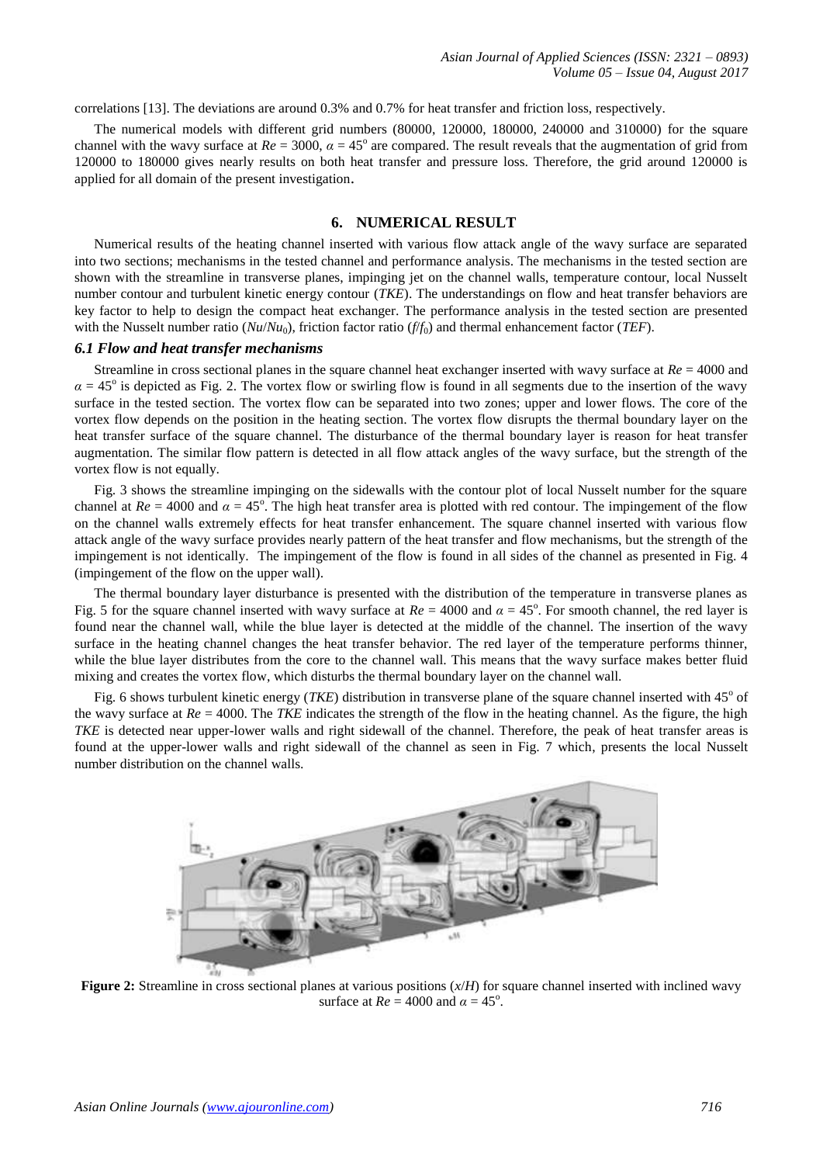correlations [13]. The deviations are around 0.3% and 0.7% for heat transfer and friction loss, respectively.

The numerical models with different grid numbers (80000, 120000, 180000, 240000 and 310000) for the square channel with the wavy surface at  $Re = 3000$ ,  $\alpha = 45^{\circ}$  are compared. The result reveals that the augmentation of grid from 120000 to 180000 gives nearly results on both heat transfer and pressure loss. Therefore, the grid around 120000 is applied for all domain of the present investigation.

# **6. NUMERICAL RESULT**

Numerical results of the heating channel inserted with various flow attack angle of the wavy surface are separated into two sections; mechanisms in the tested channel and performance analysis. The mechanisms in the tested section are shown with the streamline in transverse planes, impinging jet on the channel walls, temperature contour, local Nusselt number contour and turbulent kinetic energy contour (*TKE*). The understandings on flow and heat transfer behaviors are key factor to help to design the compact heat exchanger. The performance analysis in the tested section are presented with the Nusselt number ratio (*Nu*/*Nu*0), friction factor ratio (*f*/*f*0) and thermal enhancement factor (*TEF*).

#### *6.1 Flow and heat transfer mechanisms*

Streamline in cross sectional planes in the square channel heat exchanger inserted with wavy surface at *Re* = 4000 and  $\alpha = 45^\circ$  is depicted as Fig. 2. The vortex flow or swirling flow is found in all segments due to the insertion of the wavy surface in the tested section. The vortex flow can be separated into two zones; upper and lower flows. The core of the vortex flow depends on the position in the heating section. The vortex flow disrupts the thermal boundary layer on the heat transfer surface of the square channel. The disturbance of the thermal boundary layer is reason for heat transfer augmentation. The similar flow pattern is detected in all flow attack angles of the wavy surface, but the strength of the vortex flow is not equally.

Fig. 3 shows the streamline impinging on the sidewalls with the contour plot of local Nusselt number for the square channel at  $Re = 4000$  and  $\alpha = 45^{\circ}$ . The high heat transfer area is plotted with red contour. The impingement of the flow on the channel walls extremely effects for heat transfer enhancement. The square channel inserted with various flow attack angle of the wavy surface provides nearly pattern of the heat transfer and flow mechanisms, but the strength of the impingement is not identically. The impingement of the flow is found in all sides of the channel as presented in Fig. 4 (impingement of the flow on the upper wall).

The thermal boundary layer disturbance is presented with the distribution of the temperature in transverse planes as Fig. 5 for the square channel inserted with wavy surface at  $Re = 4000$  and  $\alpha = 45^{\circ}$ . For smooth channel, the red layer is found near the channel wall, while the blue layer is detected at the middle of the channel. The insertion of the wavy surface in the heating channel changes the heat transfer behavior. The red layer of the temperature performs thinner, while the blue layer distributes from the core to the channel wall. This means that the wavy surface makes better fluid mixing and creates the vortex flow, which disturbs the thermal boundary layer on the channel wall.

Fig. 6 shows turbulent kinetic energy  $(TKE)$  distribution in transverse plane of the square channel inserted with  $45^{\circ}$  of the wavy surface at  $Re = 4000$ . The *TKE* indicates the strength of the flow in the heating channel. As the figure, the high *TKE* is detected near upper-lower walls and right sidewall of the channel. Therefore, the peak of heat transfer areas is found at the upper-lower walls and right sidewall of the channel as seen in Fig. 7 which, presents the local Nusselt number distribution on the channel walls.



**Figure 2:** Streamline in cross sectional planes at various positions (*x*/*H*) for square channel inserted with inclined wavy surface at  $Re = 4000$  and  $\alpha = 45^{\circ}$ .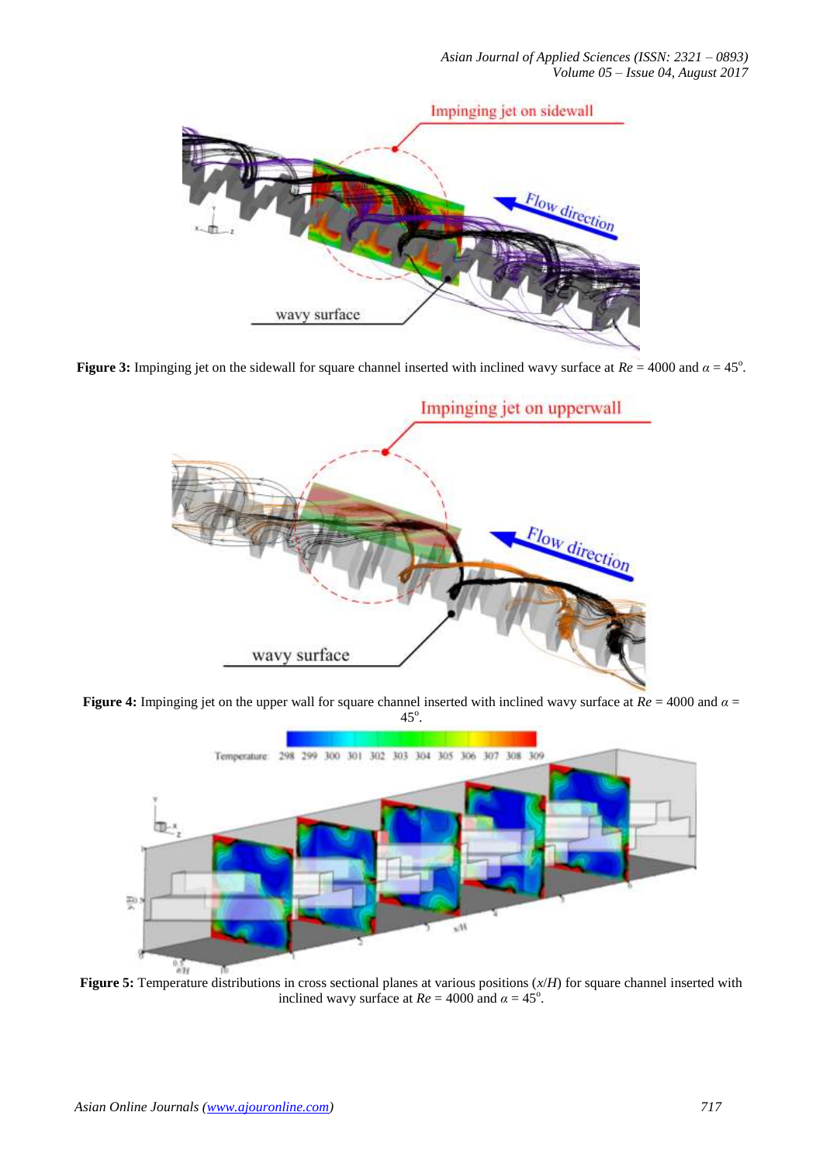

**Figure 3:** Impinging jet on the sidewall for square channel inserted with inclined wavy surface at  $Re = 4000$  and  $\alpha = 45^{\circ}$ .



**Figure 4:** Impinging jet on the upper wall for square channel inserted with inclined wavy surface at *Re* = 4000 and *α* =  $45^{\circ}$ .



**Figure 5:** Temperature distributions in cross sectional planes at various positions (*x*/*H*) for square channel inserted with inclined wavy surface at  $Re = 4000$  and  $\alpha = 45^{\circ}$ .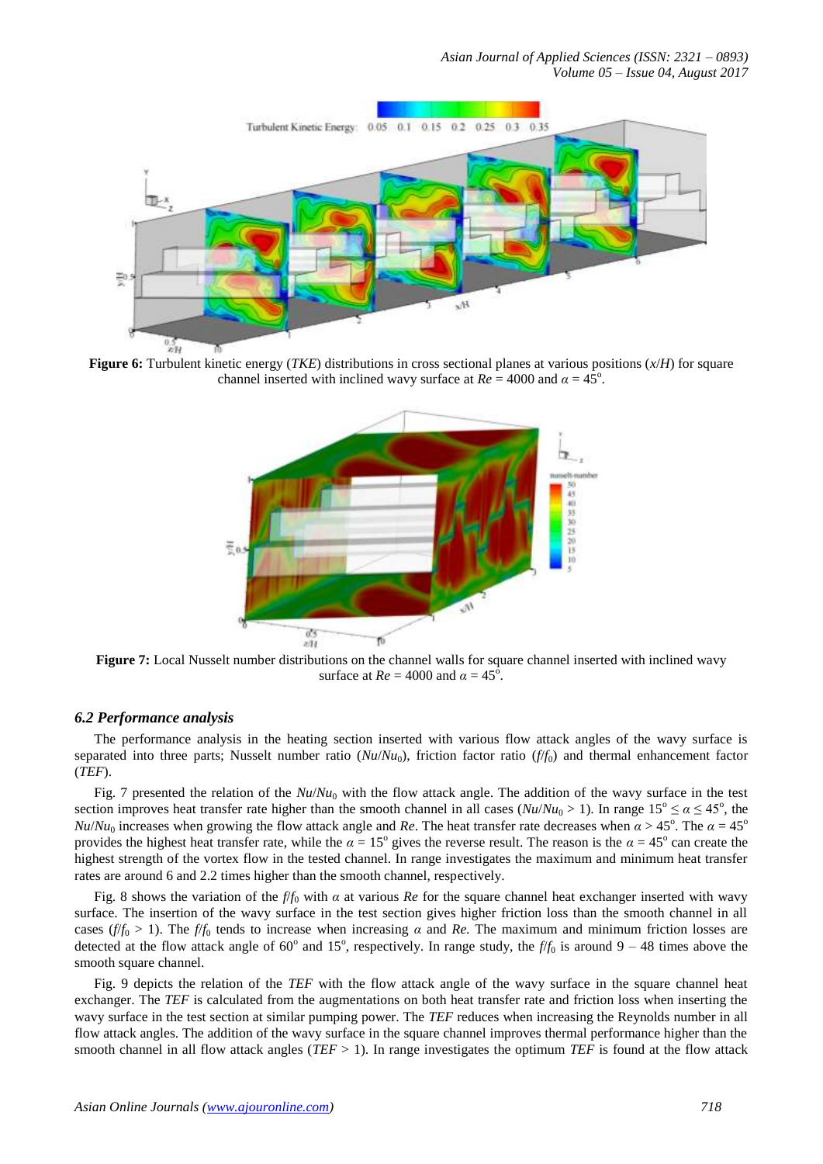

**Figure 6:** Turbulent kinetic energy (*TKE*) distributions in cross sectional planes at various positions (*x*/*H*) for square channel inserted with inclined wavy surface at  $Re = 4000$  and  $\alpha = 45^{\circ}$ .



**Figure 7:** Local Nusselt number distributions on the channel walls for square channel inserted with inclined wavy surface at  $Re = 4000$  and  $\alpha = 45^{\circ}$ .

## *6.2 Performance analysis*

The performance analysis in the heating section inserted with various flow attack angles of the wavy surface is separated into three parts; Nusselt number ratio  $(Nu/Nu_0)$ , friction factor ratio  $(f/f_0)$  and thermal enhancement factor (*TEF*).

Fig. 7 presented the relation of the  $Nu/Nu_0$  with the flow attack angle. The addition of the wavy surface in the test section improves heat transfer rate higher than the smooth channel in all cases ( $Nu/Nu_0 > 1$ ). In range  $15^\circ \le \alpha \le 45^\circ$ , the  $Nu/Nu_0$  increases when growing the flow attack angle and *Re*. The heat transfer rate decreases when  $\alpha > 45^\circ$ . The  $\alpha = 45^\circ$ provides the highest heat transfer rate, while the  $\alpha = 15^{\circ}$  gives the reverse result. The reason is the  $\alpha = 45^{\circ}$  can create the highest strength of the vortex flow in the tested channel. In range investigates the maximum and minimum heat transfer rates are around 6 and 2.2 times higher than the smooth channel, respectively.

Fig. 8 shows the variation of the  $f/f_0$  with  $\alpha$  at various  $Re$  for the square channel heat exchanger inserted with wavy surface. The insertion of the wavy surface in the test section gives higher friction loss than the smooth channel in all cases ( $f/f_0 > 1$ ). The  $f/f_0$  tends to increase when increasing *α* and *Re*. The maximum and minimum friction losses are detected at the flow attack angle of  $60^{\circ}$  and  $15^{\circ}$ , respectively. In range study, the  $f/f_0$  is around  $9 - 48$  times above the smooth square channel.

Fig. 9 depicts the relation of the *TEF* with the flow attack angle of the wavy surface in the square channel heat exchanger. The *TEF* is calculated from the augmentations on both heat transfer rate and friction loss when inserting the wavy surface in the test section at similar pumping power. The *TEF* reduces when increasing the Reynolds number in all flow attack angles. The addition of the wavy surface in the square channel improves thermal performance higher than the smooth channel in all flow attack angles ( $TEF > 1$ ). In range investigates the optimum  $TEF$  is found at the flow attack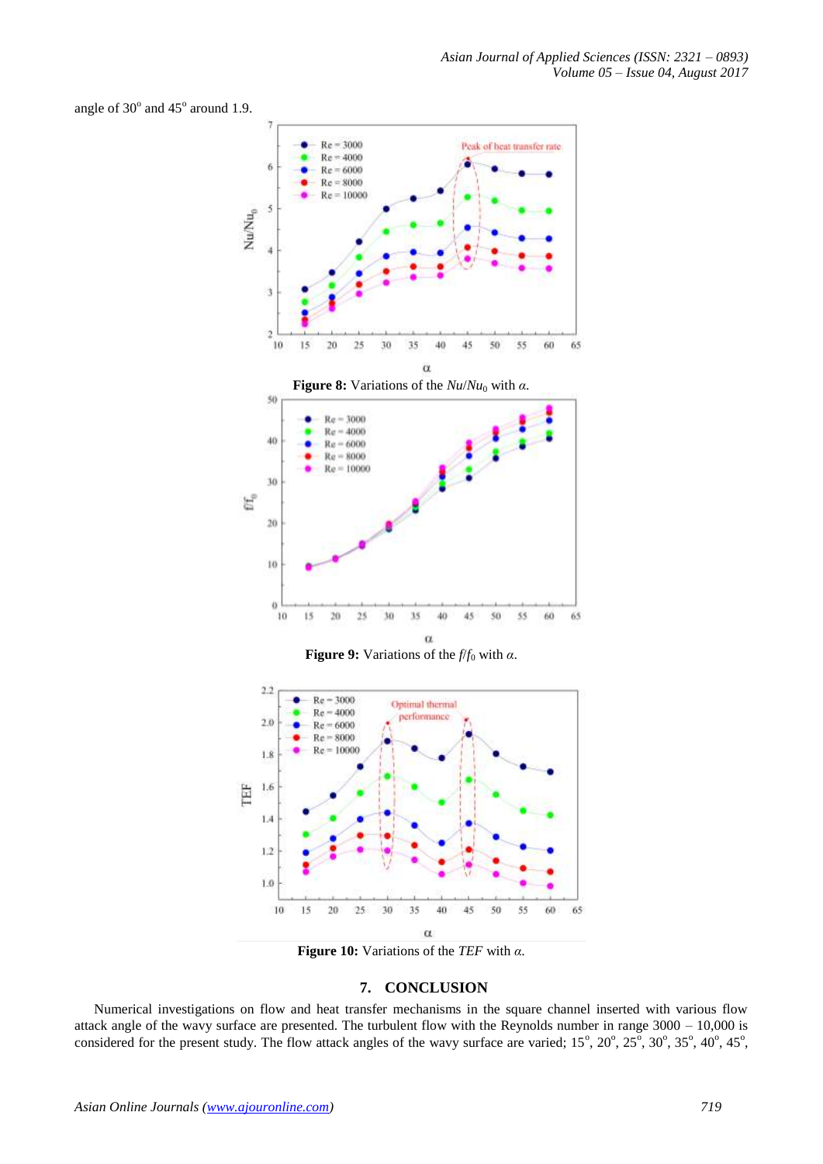angle of  $30^{\circ}$  and  $45^{\circ}$  around 1.9.



**Figure 9:** Variations of the  $f/f_0$  with  $\alpha$ .



**Figure 10:** Variations of the *TEF* with *α*.

## **7. CONCLUSION**

Numerical investigations on flow and heat transfer mechanisms in the square channel inserted with various flow attack angle of the wavy surface are presented. The turbulent flow with the Reynolds number in range 3000 – 10,000 is considered for the present study. The flow attack angles of the wavy surface are varied;  $15^{\circ}$ ,  $20^{\circ}$ ,  $25^{\circ}$ ,  $30^{\circ}$ ,  $35^{\circ}$ ,  $40^{\circ}$ ,  $45^{\circ}$ ,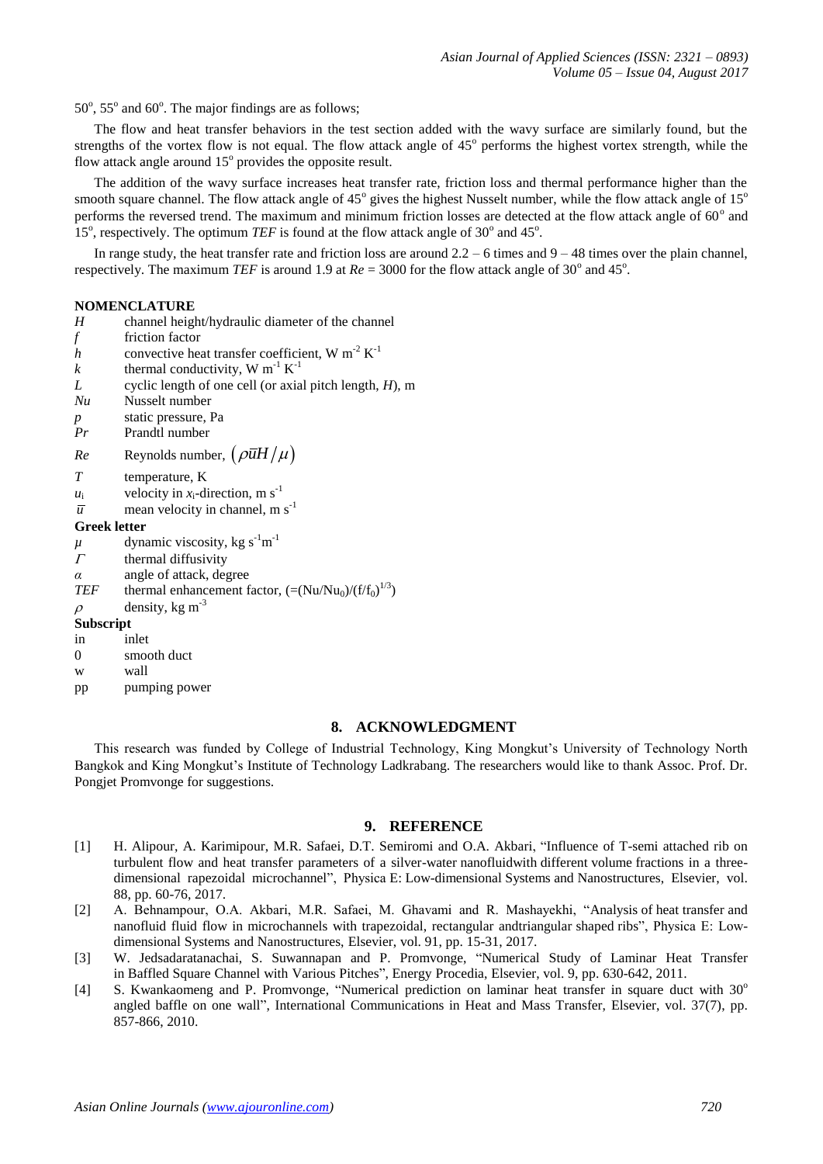$50^\circ$ ,  $55^\circ$  and  $60^\circ$ . The major findings are as follows;

The flow and heat transfer behaviors in the test section added with the wavy surface are similarly found, but the strengths of the vortex flow is not equal. The flow attack angle of  $45^\circ$  performs the highest vortex strength, while the flow attack angle around  $15^{\circ}$  provides the opposite result.

The addition of the wavy surface increases heat transfer rate, friction loss and thermal performance higher than the smooth square channel. The flow attack angle of  $45^{\circ}$  gives the highest Nusselt number, while the flow attack angle of  $15^{\circ}$ performs the reversed trend. The maximum and minimum friction losses are detected at the flow attack angle of  $60^{\circ}$  and 15°, respectively. The optimum *TEF* is found at the flow attack angle of  $30^{\circ}$  and  $45^{\circ}$ .

In range study, the heat transfer rate and friction loss are around  $2.2 - 6$  times and  $9 - 48$  times over the plain channel, respectively. The maximum *TEF* is around 1.9 at  $Re = 3000$  for the flow attack angle of 30<sup>°</sup> and 45<sup>°</sup>.

#### **NOMENCLATURE**

- *H* channel height/hydraulic diameter of the channel
- *f* friction factor
- *h* convective heat transfer coefficient, W  $m^{-2} K^{-1}$
- *k* thermal conductivity, W  $m^{-1} K^{-1}$
- *L* cyclic length of one cell (or axial pitch length, *H*), m
- *Nu* Nusselt number
- *p* static pressure, Pa<br>*Pr* Prandtl number
- Prandtl number
- *Re* Reynolds number,  $\left(\rho \overline{u}H/\mu\right)$
- *T* temperature, K
- *u*<sub>i</sub> velocity in *x*<sub>i</sub>-direction, m s<sup>-1</sup>
- *u* mean velocity in channel,  $m s^{-1}$

#### **Greek letter**

- $\mu$  dynamic viscosity, kg s<sup>-1</sup>m<sup>-1</sup>
- $\Gamma$  thermal diffusivity
- *α* angle of attack, degree

*TEF* thermal enhancement factor,  $(=(Nu/Nu_0)/(f/f_0)^{1/3})$ 

 $\rho$  density, kg m<sup>-3</sup>

#### **Subscript**

- in inlet
- 0 smooth duct
- w wall
- pp pumping power

# **8. ACKNOWLEDGMENT**

This research was funded by College of Industrial Technology, King Mongkut's University of Technology North Bangkok and King Mongkut's Institute of Technology Ladkrabang. The researchers would like to thank Assoc. Prof. Dr. Pongjet Promvonge for suggestions.

## **9. REFERENCE**

- [1] H. Alipour, A. Karimipour, M.R. Safaei, D.T. Semiromi and O.A. Akbari, ["Influence of T-semi attached rib on](http://www.sciencedirect.com/science/article/pii/S1386947716310256)  [turbulent flow and heat transfer parameters of a silver-water](http://www.sciencedirect.com/science/article/pii/S1386947716310256) nanofluidwith different volume fractions in a three[dimensional rapezoidal microchannel"](http://www.sciencedirect.com/science/article/pii/S1386947716310256), Physica E: Low-dimensional Systems and Nanostructures, Elsevier, vol. 88, pp. 60-76, 2017.
- [2] A. Behnampour, O.A. Akbari, M.R. Safaei, M. Ghavami and R. Mashayekhi, ["Analysis](http://www.sciencedirect.com/science/article/pii/S1386947717302813) of heat transfer and nanofluid [fluid flow in microchannels with trapezoidal, rectangular andtriangular](http://www.sciencedirect.com/science/article/pii/S1386947717302813) shaped ribs", Physica E: Lowdimensional Systems and Nanostructures, Elsevier, vol. 91, pp. 15-31, 2017.
- [3] W. Jedsadaratanachai, S. Suwannapan and P. Promvonge, "Numerical Study of Laminar Heat Transfer in Baffled Square Channel with Various Pitches", Energy Procedia, Elsevier, vol. 9, pp. 630-642, 2011.
- [4] S. Kwankaomeng and P. Promvonge, ["Numerical](http://www.sciencedirect.com/science/article/pii/S0735193310001077) prediction on laminar heat transfer in square duct with 30° [angled](http://www.sciencedirect.com/science/article/pii/S0735193310001077) baffle on one wall", International Communications in Heat and Mass Transfer, Elsevier, vol. 37(7), pp. 857-866, 2010.